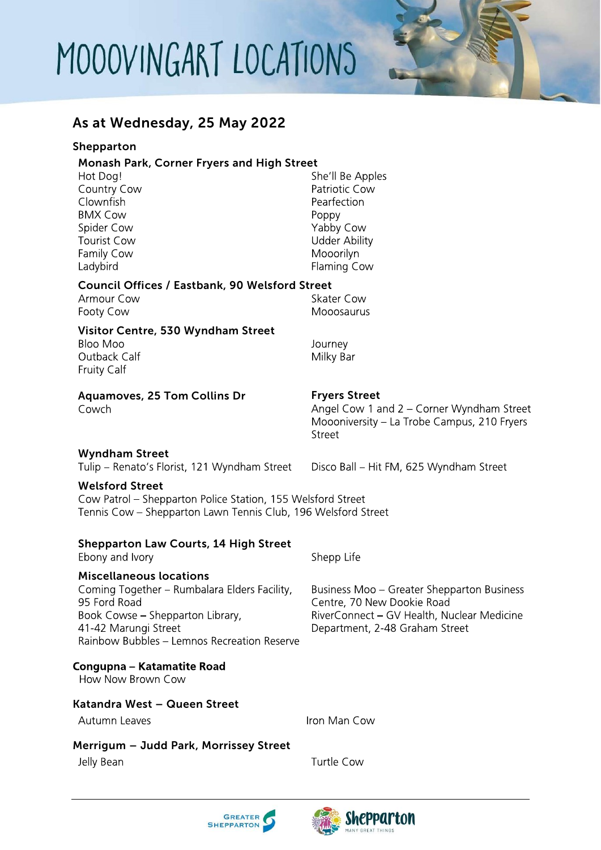## MOOOVINGART LOCATIONS

### As at Wednesday, 25 May 2022

#### Shepparton

#### Monash Park, Corner Fryers and High Street

| Hot Dog!           | She'll Be Apples     |
|--------------------|----------------------|
| Country Cow        | Patriotic Cow        |
| Clownfish          | Pearfection          |
| <b>BMX Cow</b>     | Poppy                |
| Spider Cow         | Yabby Cow            |
| <b>Tourist Cow</b> | <b>Udder Ability</b> |
| Family Cow         | Mooorilyn            |
| Ladybird           | Flaming Cow          |
|                    |                      |

### Council Offices / Eastbank, 90 Welsford Street

| Armour Cow | Skater Cow |
|------------|------------|
| Footy Cow  | Mooosaurus |

#### Visitor Centre, 530 Wyndham Street

Bloo Moo Outback Calf Fruity Calf

Cowch

Journey Milky Bar

#### Aquamoves, 25 Tom Collins Dr Fryers Street

Angel Cow 1 and 2 - Corner Wyndham Street Moooniversity - La Trobe Campus, 210 Fryers Street

#### Wyndham Street

Tulip - Renato's Florist, 121 Wyndham Street

Disco Ball - Hit FM, 625 Wyndham Street

Business Moo - Greater Shepparton Business

RiverConnect - GV Health, Nuclear Medicine

Centre, 70 New Dookie Road

Department, 2-48 Graham Street

#### Welsford Street

Cow Patrol - Shepparton Police Station, 155 Welsford Street Tennis Cow - Shepparton Lawn Tennis Club, 196 Welsford Street

#### Shepparton Law Courts, 14 High Street

Ebony and Ivory

#### Miscellaneous locations

Coming Together - Rumbalara Elders Facility, 95 Ford Road Book Cowse – Shepparton Library, 41-42 Marungi Street Rainbow Bubbles - Lemnos Recreation Reserve

#### Congupna - Katamatite Road

How Now Brown Cow

#### Katandra West – Queen Street

Autumn Leaves

Iron Man Cow

Shepp Life

#### Merrigum – Judd Park, Morrissey Street

Jelly Bean

**Turtle Cow**